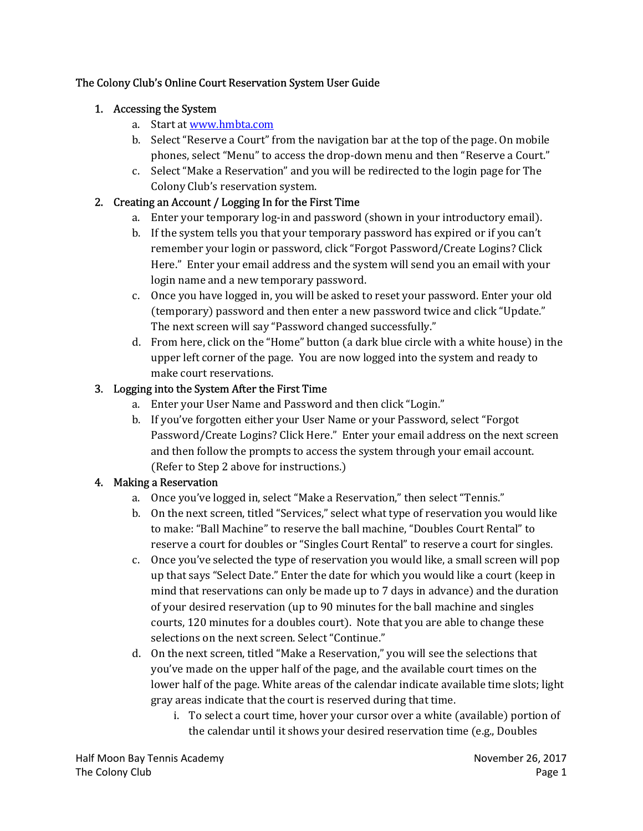### The Colony Club's Online Court Reservation System User Guide

### 1. Accessing the System

- a. Start at www.hmbta.com
- b. Select "Reserve a Court" from the navigation bar at the top of the page. On mobile phones, select "Menu" to access the drop-down menu and then "Reserve a Court."
- c. Select "Make a Reservation" and you will be redirected to the login page for The Colony Club's reservation system.

### 2. Creating an Account / Logging In for the First Time

- a. Enter your temporary log-in and password (shown in your introductory email).
- b. If the system tells you that your temporary password has expired or if you can't remember your login or password, click "Forgot Password/Create Logins? Click Here." Enter your email address and the system will send you an email with your login name and a new temporary password.
- c. Once you have logged in, you will be asked to reset your password. Enter your old (temporary) password and then enter a new password twice and click "Update." The next screen will say "Password changed successfully."
- d. From here, click on the "Home" button (a dark blue circle with a white house) in the upper left corner of the page. You are now logged into the system and ready to make court reservations.

### 3. Logging into the System After the First Time

- a. Enter your User Name and Password and then click "Login."
- b. If you've forgotten either your User Name or your Password, select "Forgot Password/Create Logins? Click Here." Enter your email address on the next screen and then follow the prompts to access the system through your email account. (Refer to Step 2 above for instructions.)

# 4. Making a Reservation

- a. Once you've logged in, select "Make a Reservation," then select "Tennis."
- b. On the next screen, titled "Services," select what type of reservation you would like to make: "Ball Machine" to reserve the ball machine, "Doubles Court Rental" to reserve a court for doubles or "Singles Court Rental" to reserve a court for singles.
- c. Once you've selected the type of reservation you would like, a small screen will pop up that says "Select Date." Enter the date for which you would like a court (keep in mind that reservations can only be made up to 7 days in advance) and the duration of your desired reservation (up to 90 minutes for the ball machine and singles courts, 120 minutes for a doubles court). Note that you are able to change these selections on the next screen. Select "Continue."
- d. On the next screen, titled "Make a Reservation," you will see the selections that you've made on the upper half of the page, and the available court times on the lower half of the page. White areas of the calendar indicate available time slots; light gray areas indicate that the court is reserved during that time.
	- i. To select a court time, hover your cursor over a white (available) portion of the calendar until it shows your desired reservation time (e.g., Doubles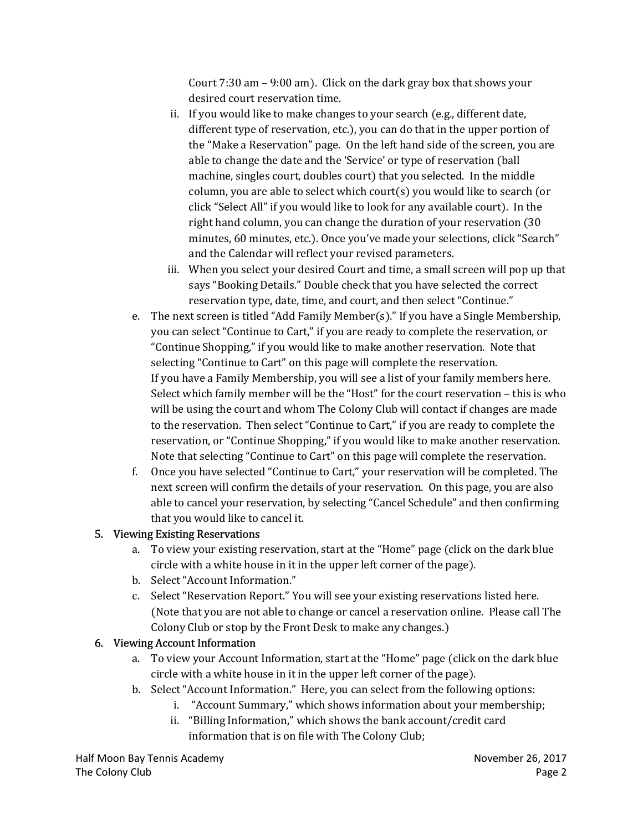Court 7:30 am – 9:00 am). Click on the dark gray box that shows your desired court reservation time.

- ii. If you would like to make changes to your search (e.g., different date, different type of reservation, etc.), you can do that in the upper portion of the "Make a Reservation" page. On the left hand side of the screen, you are able to change the date and the 'Service' or type of reservation (ball machine, singles court, doubles court) that you selected. In the middle column, you are able to select which court(s) you would like to search (or click "Select All" if you would like to look for any available court). In the right hand column, you can change the duration of your reservation (30 minutes, 60 minutes, etc.). Once you've made your selections, click "Search" and the Calendar will reflect your revised parameters.
- iii. When you select your desired Court and time, a small screen will pop up that says "Booking Details." Double check that you have selected the correct reservation type, date, time, and court, and then select "Continue."
- e. The next screen is titled "Add Family Member(s)." If you have a Single Membership, you can select "Continue to Cart," if you are ready to complete the reservation, or "Continue Shopping," if you would like to make another reservation. Note that selecting "Continue to Cart" on this page will complete the reservation. If you have a Family Membership, you will see a list of your family members here. Select which family member will be the "Host" for the court reservation – this is who will be using the court and whom The Colony Club will contact if changes are made to the reservation. Then select "Continue to Cart," if you are ready to complete the reservation, or "Continue Shopping," if you would like to make another reservation. Note that selecting "Continue to Cart" on this page will complete the reservation.
- f. Once you have selected "Continue to Cart," your reservation will be completed. The next screen will confirm the details of your reservation. On this page, you are also able to cancel your reservation, by selecting "Cancel Schedule" and then confirming that you would like to cancel it.

### 5. Viewing Existing Reservations

- a. To view your existing reservation, start at the "Home" page (click on the dark blue circle with a white house in it in the upper left corner of the page).
- b. Select "Account Information."
- c. Select "Reservation Report." You will see your existing reservations listed here. (Note that you are not able to change or cancel a reservation online. Please call The Colony Club or stop by the Front Desk to make any changes.)

### 6. Viewing Account Information

- a. To view your Account Information, start at the "Home" page (click on the dark blue circle with a white house in it in the upper left corner of the page).
- b. Select "Account Information." Here, you can select from the following options:
	- i. "Account Summary," which shows information about your membership;
	- ii. "Billing Information," which shows the bank account/credit card information that is on file with The Colony Club;